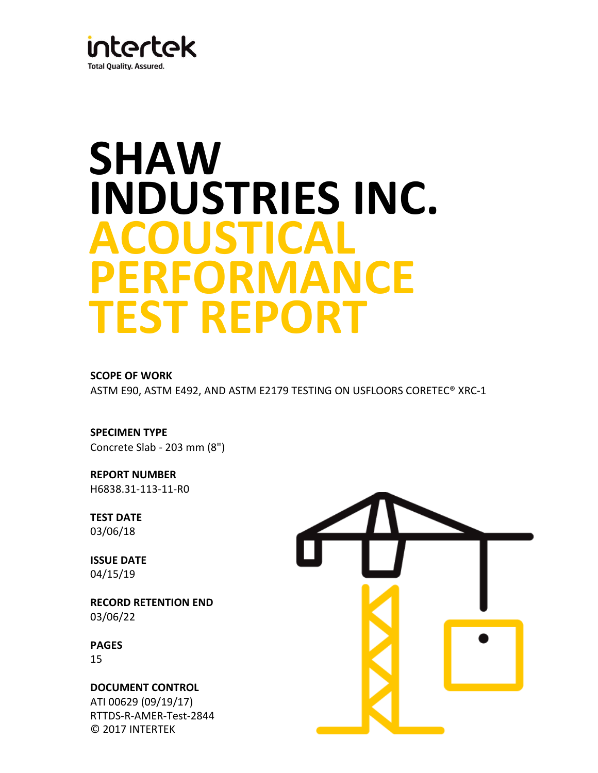

# **INDUSTRIES INC. SHAW ACOUSTICAL PERFORMANCE TEST REPORT**

**SCOPE OF WORK**

ASTM E90, ASTM E492, AND ASTM E2179 TESTING ON USFLOORS CORETEC® XRC-1

**SPECIMEN TYPE** Concrete Slab - 203 mm (8")

**REPORT NUMBER** H6838.31-113-11-R0

**TEST DATE** 03/06/18

**ISSUE DATE** 04/15/19

**RECORD RETENTION END**  03/06/22

**PAGES** 15

RTTDS-R-AMER-Test-2844 © 2017 INTERTEK ATI 00629 (09/19/17) **DOCUMENT CONTROL** 

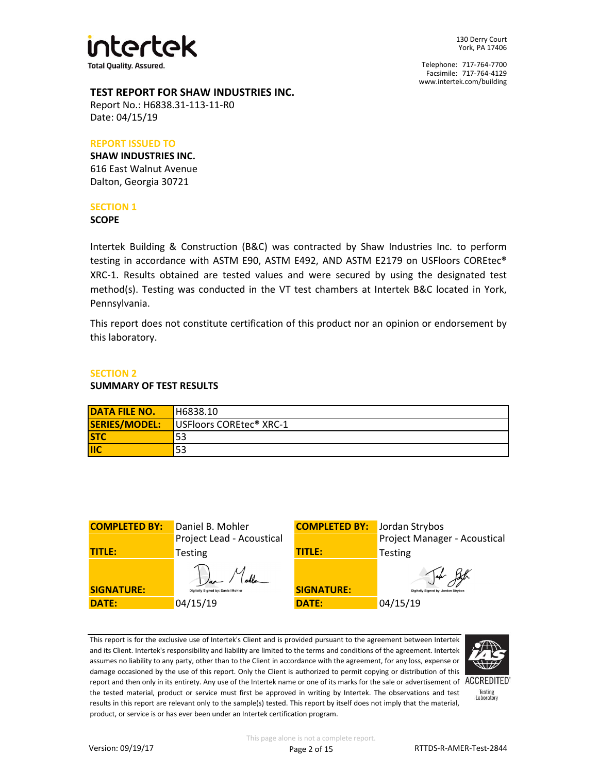

Facsimile: 717-764-4129 Telephone: 717-764-7700 www.intertek.com/building

## **TEST REPORT FOR SHAW INDUSTRIES INC.**

Report No.: H6838.31-113-11-R0 Date: 04/15/19

# **REPORT ISSUED TO**

**SHAW INDUSTRIES INC.** 616 East Walnut Avenue Dalton, Georgia 30721

# **SECTION 1**

#### **SCOPE**

Intertek Building & Construction (B&C) was contracted by Shaw Industries Inc. to perform testing in accordance with ASTM E90, ASTM E492, AND ASTM E2179 on USFloors COREtec® XRC-1. Results obtained are tested values and were secured by using the designated test method(s). Testing was conducted in the VT test chambers at Intertek B&C located in York, Pennsylvania.

This report does not constitute certification of this product nor an opinion or endorsement by this laboratory.

# **SECTION 2**

## **SUMMARY OF TEST RESULTS**

| <b>DATA FILE NO.</b> | H6838.10                            |
|----------------------|-------------------------------------|
| SERIES/MODEL:        | USFloors COREtec <sup>®</sup> XRC-1 |
| <b>STC</b>           | 53                                  |
| <b>IIC</b>           | 53                                  |

| <b>COMPLETED BY:</b> | Daniel B. Mohler                   | <b>COMPLETED BY:</b> | Jordan Strybos                                     |
|----------------------|------------------------------------|----------------------|----------------------------------------------------|
|                      | Project Lead - Acoustical          |                      | Project Manager - Acoustical                       |
| <b>TITLE:</b>        | <b>Testing</b>                     | <b>TITLE:</b>        | <b>Testing</b>                                     |
| <b>SIGNATURE:</b>    | Digitally Signed by: Daniel Mohler | <b>SIGNATURE:</b>    | $\Delta\mu$<br>Digitally Signed by: Jordan Strybos |
| <b>DATE:</b>         | 04/15/19                           | <b>DATE:</b>         | 04/15/19                                           |

This report is for the exclusive use of Intertek's Client and is provided pursuant to the agreement between Intertek and its Client. Intertek's responsibility and liability are limited to the terms and conditions of the agreement. Intertek assumes no liability to any party, other than to the Client in accordance with the agreement, for any loss, expense or damage occasioned by the use of this report. Only the Client is authorized to permit copying or distribution of this report and then only in its entirety. Any use of the Intertek name or one of its marks for the sale or advertisement of ACCREDITED the tested material, product or service must first be approved in writing by Intertek. The observations and test results in this report are relevant only to the sample(s) tested. This report by itself does not imply that the material, product, or service is or has ever been under an Intertek certification program.



Testing<br>Laboratory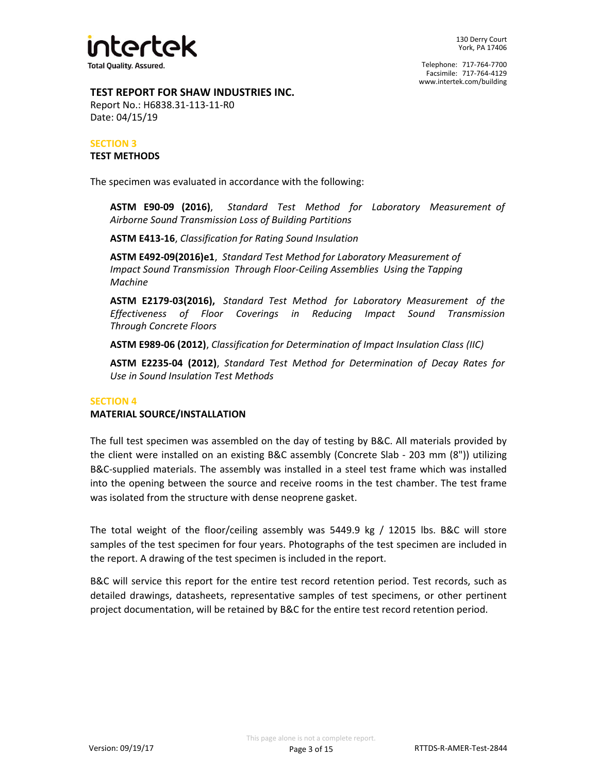

# **TEST REPORT FOR SHAW INDUSTRIES INC.**

Report No.: H6838.31-113-11-R0 Date: 04/15/19

# **SECTION 3 TEST METHODS**

The specimen was evaluated in accordance with the following:

**ASTM E90-09 (2016)**, *Standard Test Method for Laboratory Measurement of Airborne Sound Transmission Loss of Building Partitions*

**ASTM E413-16**, *Classification for Rating Sound Insulation*

*Impact Sound Transmission Through Floor-Ceiling Assemblies Using the Tapping*  **ASTM E492-09(2016)e1**, *Standard Test Method for Laboratory Measurement of Machine*

**ASTM E2179-03(2016),** *Standard Test Method for Laboratory Measurement of the Effectiveness of Floor Coverings in Reducing Impact Sound Transmission Through Concrete Floors*

**ASTM E989-06 (2012)**, *Classification for Determination of Impact Insulation Class (IIC)*

**ASTM E2235-04 (2012)**, *Standard Test Method for Determination of Decay Rates for Use in Sound Insulation Test Methods*

# **SECTION 4**

# **MATERIAL SOURCE/INSTALLATION**

The full test specimen was assembled on the day of testing by B&C. All materials provided by the client were installed on an existing B&C assembly (Concrete Slab - 203 mm (8")) utilizing B&C-supplied materials. The assembly was installed in a steel test frame which was installed into the opening between the source and receive rooms in the test chamber. The test frame was isolated from the structure with dense neoprene gasket.

The total weight of the floor/ceiling assembly was 5449.9 kg / 12015 lbs. B&C will store samples of the test specimen for four years. Photographs of the test specimen are included in the report. A drawing of the test specimen is included in the report.

B&C will service this report for the entire test record retention period. Test records, such as detailed drawings, datasheets, representative samples of test specimens, or other pertinent project documentation, will be retained by B&C for the entire test record retention period.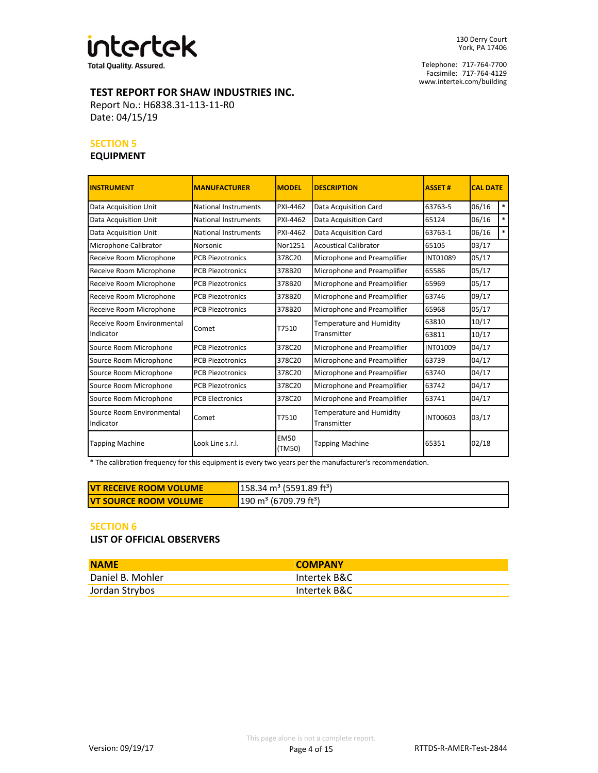

Facsimile: 717-764-4129 Telephone: 717-764-7700 www.intertek.com/building

# **TEST REPORT FOR SHAW INDUSTRIES INC.**

Report No.: H6838.31-113-11-R0 Date: 04/15/19

# **SECTION 5**

# **EQUIPMENT**

| <b>INSTRUMENT</b>                      | <b>MANUFACTURER</b>         | <b>MODEL</b>          | <b>DESCRIPTION</b>                      | <b>ASSET#</b> | <b>CAL DATE</b> |        |
|----------------------------------------|-----------------------------|-----------------------|-----------------------------------------|---------------|-----------------|--------|
| Data Acquisition Unit                  | <b>National Instruments</b> | PXI-4462              | Data Acquisition Card                   | 63763-5       | 06/16           | $\ast$ |
| Data Acquisition Unit                  | National Instruments        | PXI-4462              | Data Acquisition Card                   | 65124         | 06/16           | $\ast$ |
| Data Acquisition Unit                  | <b>National Instruments</b> | PXI-4462              | Data Acquisition Card                   | 63763-1       | 06/16           | $\ast$ |
| Microphone Calibrator                  | <b>Norsonic</b>             | Nor1251               | <b>Acoustical Calibrator</b>            | 65105         | 03/17           |        |
| Receive Room Microphone                | <b>PCB Piezotronics</b>     | 378C20                | Microphone and Preamplifier             | INT01089      | 05/17           |        |
| Receive Room Microphone                | <b>PCB Piezotronics</b>     | 378B20                | Microphone and Preamplifier             | 65586         | 05/17           |        |
| Receive Room Microphone                | <b>PCB Piezotronics</b>     | 378B20                | Microphone and Preamplifier             | 65969         | 05/17           |        |
| Receive Room Microphone                | <b>PCB Piezotronics</b>     | 378B20                | Microphone and Preamplifier             | 63746         | 09/17           |        |
| Receive Room Microphone                | <b>PCB Piezotronics</b>     | 378B20                | Microphone and Preamplifier             | 65968         | 05/17           |        |
| Receive Room Environmental             |                             | T7510                 | Temperature and Humidity                | 63810         | 10/17           |        |
| Indicator                              | Comet                       |                       | Transmitter                             | 63811         | 10/17           |        |
| Source Room Microphone                 | <b>PCB Piezotronics</b>     | 378C20                | Microphone and Preamplifier             | INT01009      | 04/17           |        |
| Source Room Microphone                 | <b>PCB Piezotronics</b>     | 378C20                | Microphone and Preamplifier             | 63739         | 04/17           |        |
| Source Room Microphone                 | <b>PCB Piezotronics</b>     | 378C20                | Microphone and Preamplifier             | 63740         | 04/17           |        |
| Source Room Microphone                 | <b>PCB Piezotronics</b>     | 378C20                | Microphone and Preamplifier             | 63742         | 04/17           |        |
| Source Room Microphone                 | <b>PCB Electronics</b>      | 378C20                | Microphone and Preamplifier             | 63741         | 04/17           |        |
| Source Room Environmental<br>Indicator | Comet                       | T7510                 | Temperature and Humidity<br>Transmitter | INT00603      | 03/17           |        |
| <b>Tapping Machine</b>                 | Look Line s.r.l.            | <b>EM50</b><br>(TM50) | <b>Tapping Machine</b>                  | 65351         | 02/18           |        |

\* The calibration frequency for this equipment is every two years per the manufacturer's recommendation.

| <b>IVT RECEIVE ROOM VOLUME</b> | $158.34 \text{ m}^3$ (5591.89 ft <sup>3</sup> ) |
|--------------------------------|-------------------------------------------------|
| <b>IVT SOURCE ROOM VOLUME</b>  | $190 \text{ m}^3$ (6709.79 ft <sup>3</sup> )    |

#### **SECTION 6**

**LIST OF OFFICIAL OBSERVERS**

| <b>NAME</b>      | <b>COMPANY</b> |
|------------------|----------------|
| Daniel B. Mohler | Intertek B&C   |
| Jordan Strybos   | Intertek B&C   |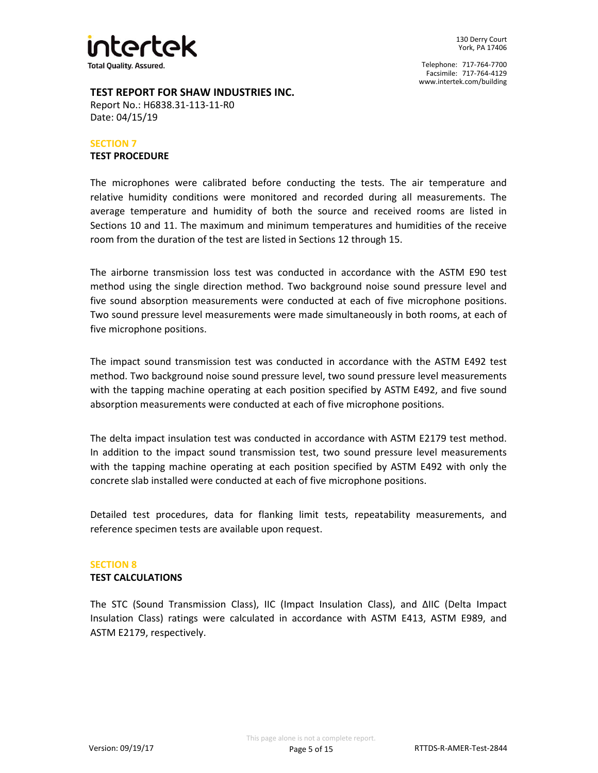

# **TEST REPORT FOR SHAW INDUSTRIES INC.**

Report No.: H6838.31-113-11-R0 Date: 04/15/19

### **TEST PROCEDURE SECTION 7**

The microphones were calibrated before conducting the tests. The air temperature and relative humidity conditions were monitored and recorded during all measurements. The average temperature and humidity of both the source and received rooms are listed in Sections 10 and 11. The maximum and minimum temperatures and humidities of the receive room from the duration of the test are listed in Sections 12 through 15.

The airborne transmission loss test was conducted in accordance with the ASTM E90 test method using the single direction method. Two background noise sound pressure level and five sound absorption measurements were conducted at each of five microphone positions. Two sound pressure level measurements were made simultaneously in both rooms, at each of five microphone positions.

The impact sound transmission test was conducted in accordance with the ASTM E492 test method. Two background noise sound pressure level, two sound pressure level measurements with the tapping machine operating at each position specified by ASTM E492, and five sound absorption measurements were conducted at each of five microphone positions.

The delta impact insulation test was conducted in accordance with ASTM E2179 test method. In addition to the impact sound transmission test, two sound pressure level measurements with the tapping machine operating at each position specified by ASTM E492 with only the concrete slab installed were conducted at each of five microphone positions.

Detailed test procedures, data for flanking limit tests, repeatability measurements, and reference specimen tests are available upon request.

# **SECTION 8**

## **TEST CALCULATIONS**

The STC (Sound Transmission Class), IIC (Impact Insulation Class), and ΔIIC (Delta Impact Insulation Class) ratings were calculated in accordance with ASTM E413, ASTM E989, and ASTM E2179, respectively.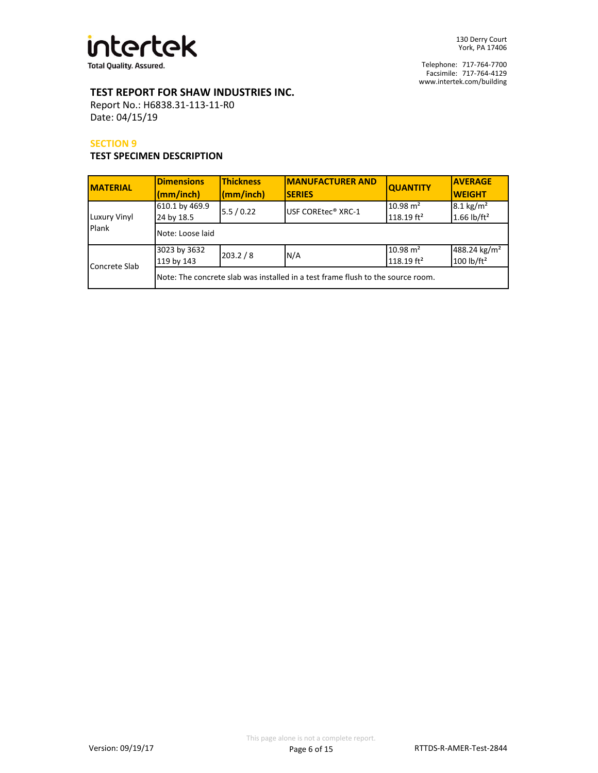

# **TEST REPORT FOR SHAW INDUSTRIES INC.**

Report No.: H6838.31-113-11-R0 Date: 04/15/19

### **SECTION 9**

# **TEST SPECIMEN DESCRIPTION**

| <b>MATERIAL</b>       | <b>Dimensions</b><br>(mm/inch) | <b>Thickness</b><br>(mm/inch)                                                   | <b>IMANUFACTURER AND</b><br><b>SERIES</b> | <b>QUANTITY</b>                                 | <b>AVERAGE</b><br><b>WEIGHT</b>           |  |  |
|-----------------------|--------------------------------|---------------------------------------------------------------------------------|-------------------------------------------|-------------------------------------------------|-------------------------------------------|--|--|
| Luxury Vinyl<br>Plank | 610.1 by 469.9<br>24 by 18.5   | 5.5/0.22                                                                        | USF COREtec <sup>®</sup> XRC-1            | $10.98 \text{ m}^2$<br>$118.19$ ft <sup>2</sup> | $8.1 \text{ kg/m}^2$<br>1.66 $lb/ft^2$    |  |  |
|                       | Note: Loose laid               |                                                                                 |                                           |                                                 |                                           |  |  |
| Concrete Slab         | 3023 by 3632<br>119 by 143     | 203.2 / 8                                                                       | N/A                                       | $10.98 \text{ m}^2$<br>$118.19$ ft <sup>2</sup> | 488.24 kg/m <sup>2</sup><br>100 $lb/ft^2$ |  |  |
|                       |                                | Note: The concrete slab was installed in a test frame flush to the source room. |                                           |                                                 |                                           |  |  |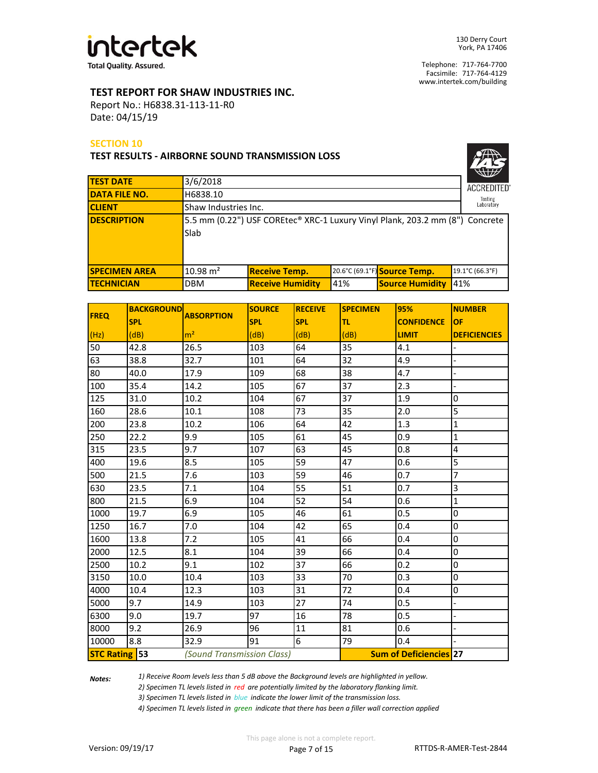

# **TEST REPORT FOR SHAW INDUSTRIES INC.**

Report No.: H6838.31-113-11-R0 Date: 04/15/19

## **SECTION 10**

**TEST RESULTS - AIRBORNE SOUND TRANSMISSION LOSS**

| <b>ACCREDITED®</b>    |
|-----------------------|
| Testing<br>Laboratory |

|                                                                              | <b>ACCREDITED</b> |                                                                         |  |                                                        |  |  |
|------------------------------------------------------------------------------|-------------------|-------------------------------------------------------------------------|--|--------------------------------------------------------|--|--|
| H6838.10                                                                     |                   |                                                                         |  | Testing                                                |  |  |
|                                                                              | Laboratory        |                                                                         |  |                                                        |  |  |
| 5.5 mm (0.22") USF COREtec® XRC-1 Luxury Vinyl Plank, 203.2 mm (8") Concrete |                   |                                                                         |  |                                                        |  |  |
| Slab                                                                         |                   |                                                                         |  |                                                        |  |  |
|                                                                              |                   |                                                                         |  |                                                        |  |  |
|                                                                              |                   |                                                                         |  |                                                        |  |  |
| $10.98 \text{ m}^2$                                                          |                   |                                                                         |  | 19.1°C (66.3°F)                                        |  |  |
| <b>DBM</b>                                                                   |                   | 41%                                                                     |  | 41%                                                    |  |  |
|                                                                              |                   | Shaw Industries Inc.<br><b>Receive Temp.</b><br><b>Receive Humidity</b> |  | 20.6°C (69.1°F) Source Temp.<br><b>Source Humidity</b> |  |  |

| <b>FREQ</b>          | <b>BACKGROUND</b> | <b>ABSORPTION</b>          | <b>SOURCE</b> | <b>RECEIVE</b> | <b>SPECIMEN</b> | 95%                           | <b>NUMBER</b>       |
|----------------------|-------------------|----------------------------|---------------|----------------|-----------------|-------------------------------|---------------------|
|                      | <b>SPL</b>        |                            | <b>SPL</b>    | <b>SPL</b>     | lτι             | <b>CONFIDENCE</b>             | <b>OF</b>           |
| (Hz)                 | (dB)              | m <sup>2</sup>             | (dB)          | (dB)           | (dB)            | <b>LIMIT</b>                  | <b>DEFICIENCIES</b> |
| 50                   | 42.8              | 26.5                       | 103           | 64             | 35              | 4.1                           |                     |
| 63                   | 38.8              | 32.7                       | 101           | 64             | 32              | 4.9                           |                     |
| 80                   | 40.0              | 17.9                       | 109           | 68             | 38              | 4.7                           |                     |
| 100                  | 35.4              | 14.2                       | 105           | 67             | 37              | 2.3                           |                     |
| 125                  | 31.0              | 10.2                       | 104           | 67             | 37              | 1.9                           | 0                   |
| 160                  | 28.6              | 10.1                       | 108           | 73             | 35              | 2.0                           | 5                   |
| 200                  | 23.8              | 10.2                       | 106           | 64             | 42              | 1.3                           | 1                   |
| 250                  | 22.2              | 9.9                        | 105           | 61             | 45              | 0.9                           | $\mathbf{1}$        |
| 315                  | 23.5              | 9.7                        | 107           | 63             | 45              | 0.8                           | 4                   |
| 400                  | 19.6              | 8.5                        | 105           | 59             | 47              | 0.6                           | 5                   |
| 500                  | 21.5              | 7.6                        | 103           | 59             | 46              | 0.7                           | 7                   |
| 630                  | 23.5              | 7.1                        | 104           | 55             | 51              | 0.7                           | 3                   |
| 800                  | 21.5              | 6.9                        | 104           | 52             | 54              | 0.6                           | 1                   |
| 1000                 | 19.7              | 6.9                        | 105           | 46             | 61              | 0.5                           | 0                   |
| 1250                 | 16.7              | 7.0                        | 104           | 42             | 65              | 0.4                           | 0                   |
| 1600                 | 13.8              | 7.2                        | 105           | 41             | 66              | 0.4                           | 0                   |
| 2000                 | 12.5              | 8.1                        | 104           | 39             | 66              | 0.4                           | 0                   |
| 2500                 | 10.2              | 9.1                        | 102           | 37             | 66              | 0.2                           | 0                   |
| 3150                 | 10.0              | 10.4                       | 103           | 33             | 70              | 0.3                           | 0                   |
| 4000                 | 10.4              | 12.3                       | 103           | 31             | 72              | 0.4                           | 0                   |
| 5000                 | 9.7               | 14.9                       | 103           | 27             | 74              | 0.5                           |                     |
| 6300                 | 9.0               | 19.7                       | 97            | 16             | 78              | 0.5                           |                     |
| 8000                 | 9.2               | 26.9                       | 96            | 11             | 81              | 0.6                           |                     |
| 10000                | 8.8               | 32.9                       | 91            | 6              | 79              | 0.4                           |                     |
| <b>STC Rating 53</b> |                   | (Sound Transmission Class) |               |                |                 | <b>Sum of Deficiencies 27</b> |                     |

*Notes:* 

*1) Receive Room levels less than 5 dB above the Background levels are highlighted in yellow.*

*2) Specimen TL levels listed in red are potentially limited by the laboratory flanking limit.*

*3) Specimen TL levels listed in blue indicate the lower limit of the transmission loss.*

*4) Specimen TL levels listed in green indicate that there has been a filler wall correction applied*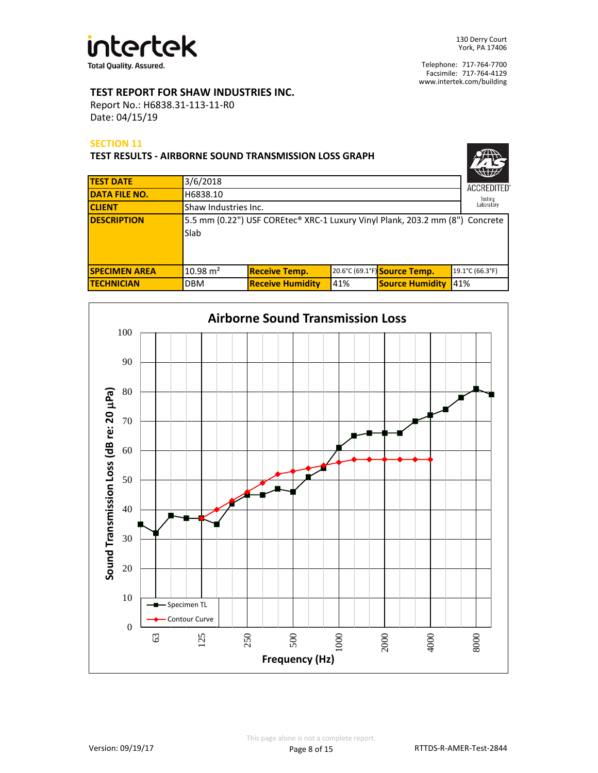

# **TEST REPORT FOR SHAW INDUSTRIES INC.**

Report No.: H6838.31-113-11-R0 Date: 04/15/19

## **SECTION 11**

| <b>TEST RESULTS - AIRBORNE SOUND TRANSMISSION LOSS GRAPH</b> |                      |                                                                              |     |                              |                       |  |  |  |
|--------------------------------------------------------------|----------------------|------------------------------------------------------------------------------|-----|------------------------------|-----------------------|--|--|--|
| <b>TEST DATE</b>                                             | 3/6/2018             |                                                                              |     |                              | <b>ACCREDITED</b>     |  |  |  |
| <b>DATA FILE NO.</b>                                         | H6838.10             |                                                                              |     |                              |                       |  |  |  |
| <b>CLIENT</b>                                                | Shaw Industries Inc. |                                                                              |     |                              | Testing<br>Laboratory |  |  |  |
| <b>DESCRIPTION</b>                                           | Slab                 | 5.5 mm (0.22") USF COREtec® XRC-1 Luxury Vinyl Plank, 203.2 mm (8") Concrete |     |                              |                       |  |  |  |
| <b>SPECIMEN AREA</b>                                         | $10.98 \text{ m}^2$  | <b>Receive Temp.</b>                                                         |     | 20.6°C (69.1°F) Source Temp. | 19.1°C (66.3°F)       |  |  |  |
| <b>TECHNICIAN</b>                                            | <b>DBM</b>           | <b>Receive Humidity</b>                                                      | 41% | <b>Source Humidity</b>       | 41%                   |  |  |  |

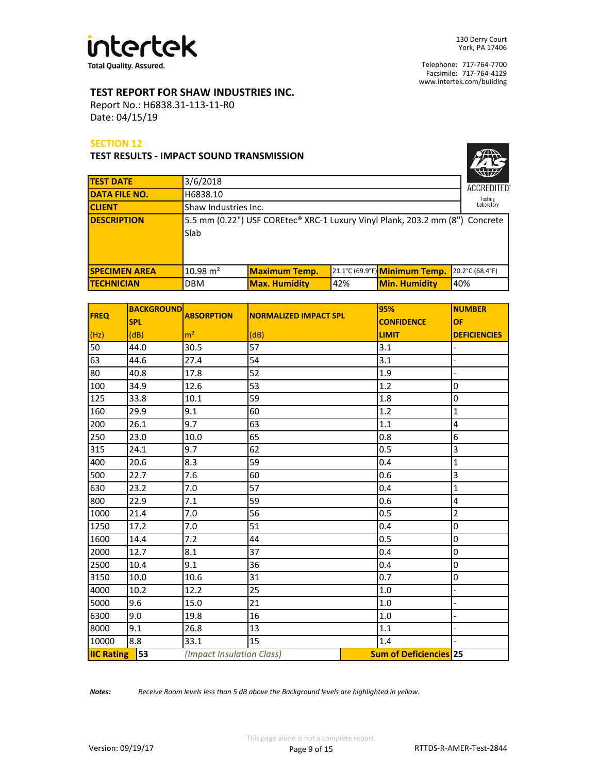

 $\sqrt{2}$ 

Facsimile: 717-764-4129 Telephone: 717-764-7700 www.intertek.com/building

# **TEST REPORT FOR SHAW INDUSTRIES INC.**

Report No.: H6838.31-113-11-R0 Date: 04/15/19

## **SECTION 12**

**TEST RESULTS - IMPACT SOUND TRANSMISSION**

|                      | Slab                                                                         |                    |
|----------------------|------------------------------------------------------------------------------|--------------------|
|                      |                                                                              |                    |
| <b>DESCRIPTION</b>   | 5.5 mm (0.22") USF COREtec® XRC-1 Luxury Vinyl Plank, 203.2 mm (8") Concrete |                    |
| <b>CLIENT</b>        | Shaw Industries Inc.                                                         | Laboratory         |
| <b>DATA FILE NO.</b> | H6838.10                                                                     | Testing            |
| <b>TEST DATE</b>     | 3/6/2018                                                                     | <b>ACCREDITED®</b> |

| <b>FREQ</b>       | <b>BACKGROUND</b> | <b>ABSORPTION</b>         | <b>NORMALIZED IMPACT SPL</b> | 95%                           | <b>NUMBER</b>       |
|-------------------|-------------------|---------------------------|------------------------------|-------------------------------|---------------------|
|                   | <b>SPL</b>        |                           |                              | <b>CONFIDENCE</b>             | <b>OF</b>           |
| (Hz)              | (dB)              | m <sup>2</sup>            | (dB)                         | <b>LIMIT</b>                  | <b>DEFICIENCIES</b> |
| 50                | 44.0              | 30.5                      | 57                           | 3.1                           |                     |
| 63                | 44.6              | 27.4                      | 54                           | 3.1                           |                     |
| 80                | 40.8              | 17.8                      | 52                           | 1.9                           |                     |
| 100               | 34.9              | 12.6                      | 53                           | 1.2                           | 0                   |
| 125               | 33.8              | 10.1                      | 59                           | 1.8                           | 0                   |
| 160               | 29.9              | 9.1                       | 60                           | 1.2                           | $\mathbf 1$         |
| 200               | 26.1              | 9.7                       | 63                           | 1.1                           | 4                   |
| 250               | 23.0              | 10.0                      | 65                           | 0.8                           | 6                   |
| 315               | 24.1              | 9.7                       | 62                           | 0.5                           | 3                   |
| 400               | 20.6              | 8.3                       | 59                           | 0.4                           | $\mathbf 1$         |
| 500               | 22.7              | 7.6                       | 60                           | 0.6                           | $\overline{3}$      |
| 630               | 23.2              | 7.0                       | 57                           | 0.4                           | $\mathbf 1$         |
| 800               | 22.9              | 7.1                       | 59                           | 0.6                           | 4                   |
| 1000              | 21.4              | 7.0                       | 56                           | 0.5                           | $\overline{2}$      |
| 1250              | 17.2              | 7.0                       | 51                           | 0.4                           | 0                   |
| 1600              | 14.4              | 7.2                       | 44                           | 0.5                           | 0                   |
| 2000              | 12.7              | 8.1                       | 37                           | 0.4                           | 0                   |
| 2500              | 10.4              | 9.1                       | 36                           | 0.4                           | 0                   |
| 3150              | 10.0              | 10.6                      | 31                           | 0.7                           | 0                   |
| 4000              | 10.2              | 12.2                      | 25                           | 1.0                           |                     |
| 5000              | 9.6               | 15.0                      | 21                           | 1.0                           |                     |
| 6300              | 9.0               | 19.8                      | 16                           | 1.0                           |                     |
| 8000              | 9.1               | 26.8                      | 13                           | 1.1                           |                     |
| 10000             | 8.8               | 33.1                      | 15                           | 1.4                           |                     |
| <b>IIC Rating</b> | 53                | (Impact Insulation Class) |                              | <b>Sum of Deficiencies 25</b> |                     |

*Notes: Receive Room levels less than 5 dB above the Background levels are highlighted in yellow.*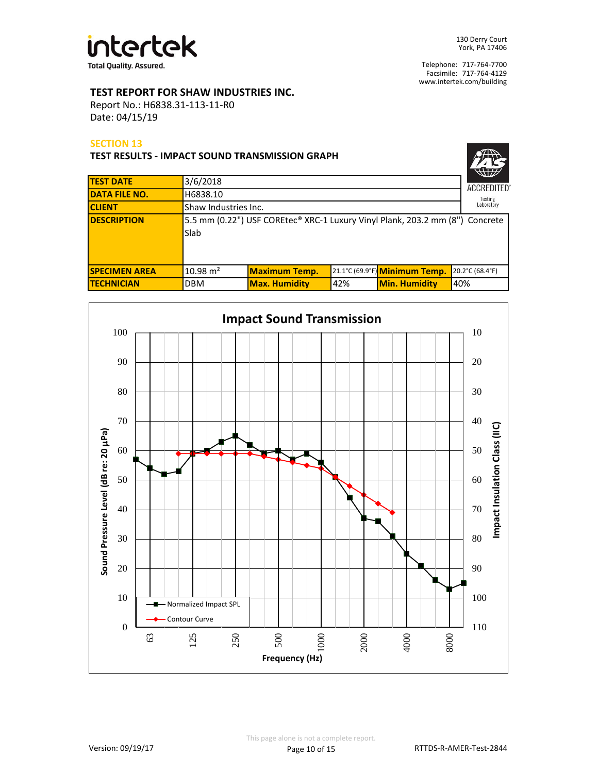

# **TEST REPORT FOR SHAW INDUSTRIES INC.**

Report No.: H6838.31-113-11-R0 Date: 04/15/19

## **SECTION 13**

| <b>TEST RESULTS - IMPACT SOUND TRANSMISSION GRAPH</b> |                                                                                      |                                    |     |                               |                   |  |
|-------------------------------------------------------|--------------------------------------------------------------------------------------|------------------------------------|-----|-------------------------------|-------------------|--|
| <b>TEST DATE</b>                                      | 3/6/2018                                                                             |                                    |     |                               | <b>ACCREDITED</b> |  |
| <b>DATA FILE NO.</b>                                  | H6838.10                                                                             |                                    |     |                               | Testing           |  |
| <b>CLIENT</b>                                         |                                                                                      | Laboratory<br>Shaw Industries Inc. |     |                               |                   |  |
| <b>DESCRIPTION</b>                                    | 5.5 mm (0.22") USF COREtec® XRC-1 Luxury Vinyl Plank, 203.2 mm (8") Concrete<br>Slab |                                    |     |                               |                   |  |
| <b>SPECIMEN AREA</b>                                  | $10.98 \text{ m}^2$                                                                  | <b>Maximum Temp.</b>               |     | 21.1°C (69.9°F) Minimum Temp. | 20.2°C (68.4°F)   |  |
| <b>TECHNICIAN</b>                                     | <b>DBM</b>                                                                           | <b>Max. Humidity</b>               | 42% | <b>Min. Humidity</b>          | 40%               |  |

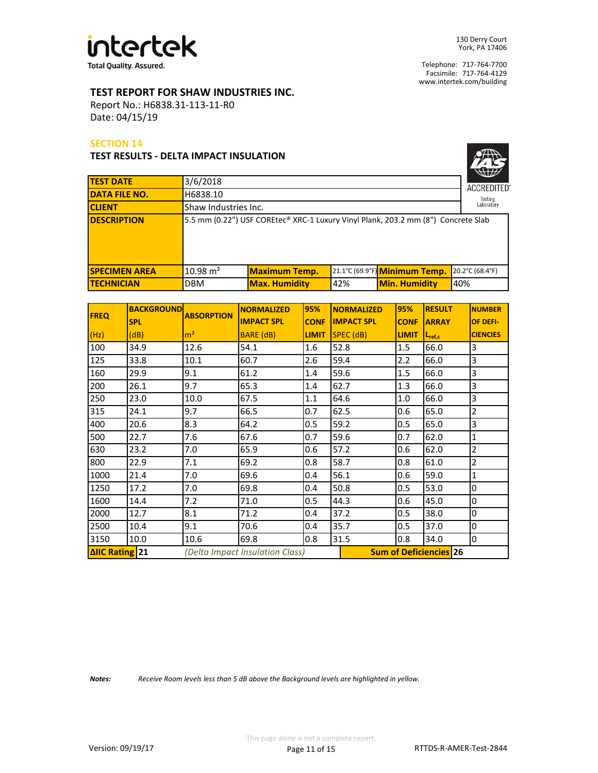

# **TEST REPORT FOR SHAW INDUSTRIES INC.**

Report No.: H6838.31-113-11-R0 Date: 04/15/19

### **SECTION 14**

### **TEST RESULTS - DELTA IMPACT INSULATION**

| <b>ACCREDITED®</b>    |
|-----------------------|
| Testing<br>Laboratory |

| <b>TEST DATE</b>     | 3/6/2018            |                                                                                   |     |                               | <b>ACCREDITED</b> |  |
|----------------------|---------------------|-----------------------------------------------------------------------------------|-----|-------------------------------|-------------------|--|
| <b>DATA FILE NO.</b> | H6838.10            |                                                                                   |     |                               |                   |  |
| <b>CLIENT</b>        |                     | Shaw Industries Inc.                                                              |     |                               |                   |  |
| <b>IDESCRIPTION</b>  |                     | 5.5 mm (0.22") USF COREtec® XRC-1 Luxury Vinyl Plank, 203.2 mm (8") Concrete Slab |     |                               |                   |  |
| <b>SPECIMEN AREA</b> | $10.98 \text{ m}^2$ | <b>Maximum Temp.</b>                                                              |     | 21.1°C (69.9°F) Minimum Temp. | 20.2°C (68.4°F)   |  |
| <b>ITECHNICIAN</b>   | <b>DBM</b>          | <b>Max. Humidity</b>                                                              | 42% | <b>Min. Humidity</b>          | 40%               |  |

| <b>FREQ</b>                                       | <b>BACKGROUND</b> | <b>ABSORPTION</b> | <b>NORMALIZED</b> | 95%          | <b>NORMALIZED</b>             | 95%          | <b>RESULT</b>      | <b>NUMBER</b>   |
|---------------------------------------------------|-------------------|-------------------|-------------------|--------------|-------------------------------|--------------|--------------------|-----------------|
|                                                   | <b>SPL</b>        |                   | <b>IMPACT SPL</b> | <b>CONF</b>  | <b>IMPACT SPL</b>             | <b>CONF</b>  | <b>ARRAY</b>       | OF DEFI-        |
| (Hz)                                              | (dB)              | m <sup>2</sup>    | <b>BARE</b> (dB)  | <b>LIMIT</b> | $SPEC$ ( $dB$ )               | <b>LIMIT</b> | $L_{\text{ref,c}}$ | <b>CIENCIES</b> |
| 100                                               | 34.9              | 12.6              | 54.1              | 1.6          | 52.8                          | 1.5          | 66.0               | 3               |
| 125                                               | 33.8              | 10.1              | 60.7              | 2.6          | 59.4                          | 2.2          | 66.0               | 3               |
| 160                                               | 29.9              | 9.1               | 61.2              | 1.4          | 59.6                          | 1.5          | 66.0               | 3               |
| 200                                               | 26.1              | 9.7               | 65.3              | 1.4          | 62.7                          | 1.3          | 66.0               | 3               |
| 250                                               | 23.0              | 10.0              | 67.5              | 1.1          | 64.6                          | 1.0          | 66.0               | $\overline{3}$  |
| 315                                               | 24.1              | 9.7               | 66.5              | 0.7          | 62.5                          | 0.6          | 65.0               | $\overline{2}$  |
| 400                                               | 20.6              | 8.3               | 64.2              | 0.5          | 59.2                          | 0.5          | 65.0               | 3               |
| 500                                               | 22.7              | 7.6               | 67.6              | 0.7          | 59.6                          | 0.7          | 62.0               | $\mathbf{1}$    |
| 630                                               | 23.2              | 7.0               | 65.9              | 0.6          | 57.2                          | 0.6          | 62.0               | $\overline{2}$  |
| 800                                               | 22.9              | 7.1               | 69.2              | 0.8          | 58.7                          | 0.8          | 61.0               | $\overline{2}$  |
| 1000                                              | 21.4              | 7.0               | 69.6              | 0.4          | 56.1                          | 0.6          | 59.0               | $\overline{1}$  |
| 1250                                              | 17.2              | 7.0               | 69.8              | 0.4          | 50.8                          | 0.5          | 53.0               | $\bf{0}$        |
| 1600                                              | 14.4              | 7.2               | 71.0              | 0.5          | 44.3                          | 0.6          | 45.0               | $\mathbf 0$     |
| 2000                                              | 12.7              | 8.1               | 71.2              | 0.4          | 37.2                          | 0.5          | 38.0               | $\mathbf 0$     |
| 2500                                              | 10.4              | 9.1               | 70.6              | 0.4          | 35.7                          | 0.5          | 37.0               | $\mathbf 0$     |
| 3150                                              | 10.0              | 10.6              | 69.8              | 0.8          | 31.5                          | 0.8          | 34.0               | 0               |
| ΔIIC Rating 21<br>(Delta Impact Insulation Class) |                   |                   |                   |              | <b>Sum of Deficiencies 26</b> |              |                    |                 |

*Notes: Receive Room levels less than 5 dB above the Background levels are highlighted in yellow.*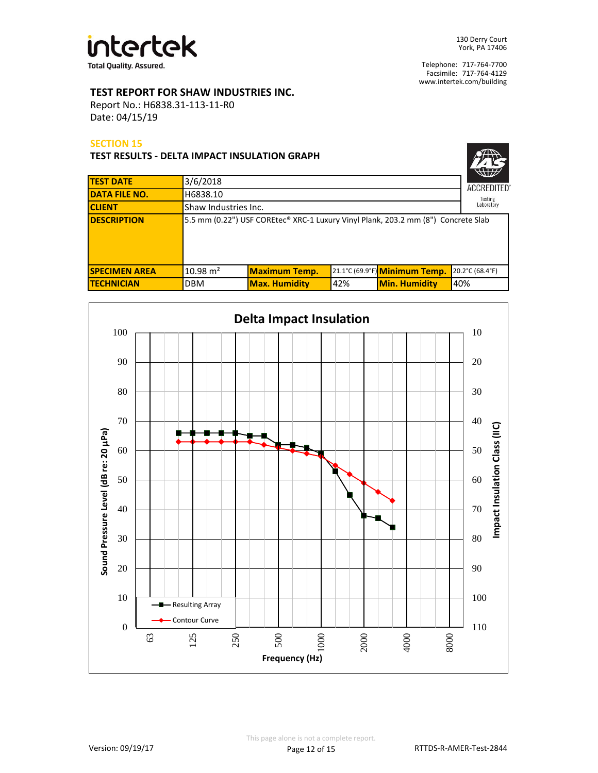

# **TEST REPORT FOR SHAW INDUSTRIES INC.**

Report No.: H6838.31-113-11-R0 Date: 04/15/19

## **SECTION 15**

**TEST RESULTS - DELTA IMPACT INSULATION GRAPH**

| <b>ACCREDITED®</b>    |
|-----------------------|
| Testing<br>Laboratory |

| <b>TEST DATE</b>     | 3/6/2018            |                                                                                   |     |                               | $\mathbf{w}$<br><b>ACCREDITED</b> |  |
|----------------------|---------------------|-----------------------------------------------------------------------------------|-----|-------------------------------|-----------------------------------|--|
| <b>DATA FILE NO.</b> | H6838.10            |                                                                                   |     |                               |                                   |  |
| <b>CLIENT</b>        |                     | Testing<br>Laboratory<br>Shaw Industries Inc.                                     |     |                               |                                   |  |
| <b>DESCRIPTION</b>   |                     | 5.5 mm (0.22") USF COREtec® XRC-1 Luxury Vinyl Plank, 203.2 mm (8") Concrete Slab |     |                               |                                   |  |
| <b>SPECIMEN AREA</b> | $10.98 \text{ m}^2$ | <b>Maximum Temp.</b>                                                              |     | 21.1°C (69.9°F) Minimum Temp. | 20.2°C (68.4°F)                   |  |
| <b>ITECHNICIAN</b>   | <b>DBM</b>          | <b>Max. Humidity</b>                                                              | 42% | <b>Min. Humidity</b>          | 40%                               |  |

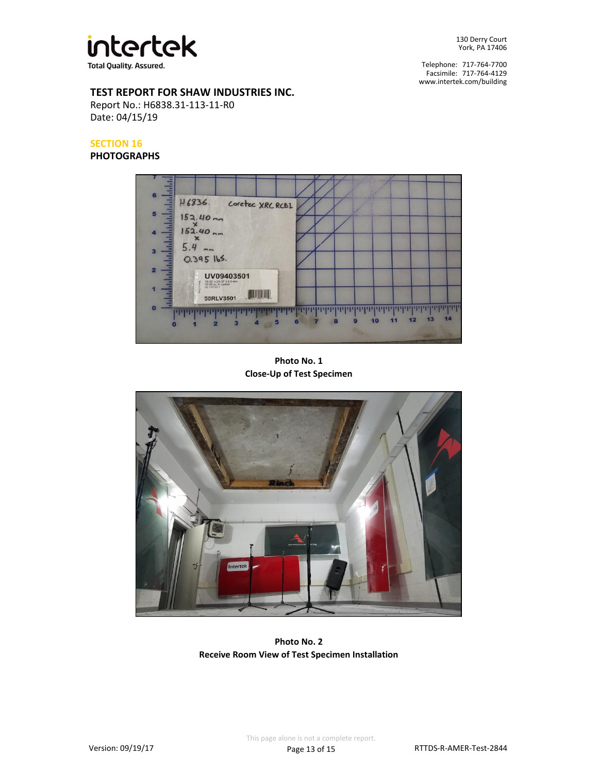

Facsimile: 717-764-4129 Telephone: 717-764-7700 www.intertek.com/building

# **TEST REPORT FOR SHAW INDUSTRIES INC.**

Report No.: H6838.31-113-11-R0 Date: 04/15/19

# **SECTION 16**

**PHOTOGRAPHS**



**Close-Up of Test Specimen Photo No. 1**



**Photo No. 2 Receive Room View of Test Specimen Installation**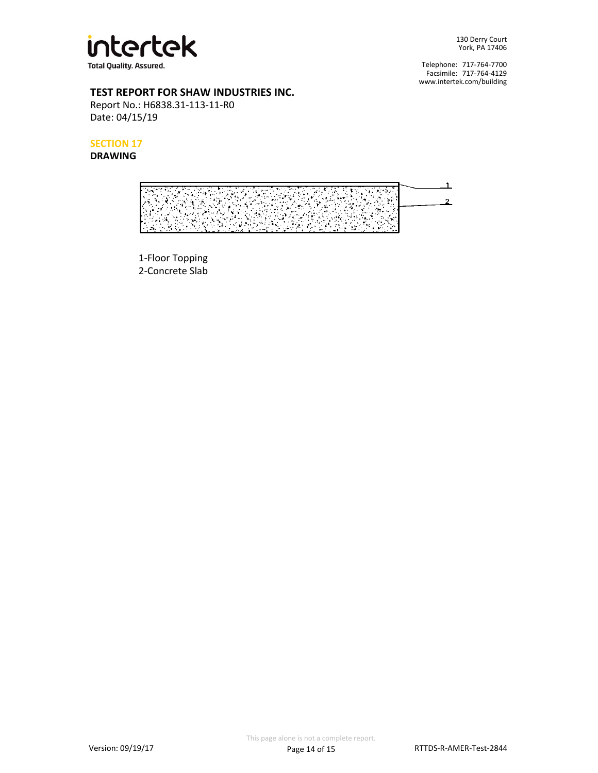

Facsimile: 717-764-4129 Telephone: 717-764-7700 www.intertek.com/building

# **TEST REPORT FOR SHAW INDUSTRIES INC.**

Report No.: H6838.31-113-11-R0 Date: 04/15/19

**SECTION 17**

**DRAWING**



2-Concrete Slab 1-Floor Topping